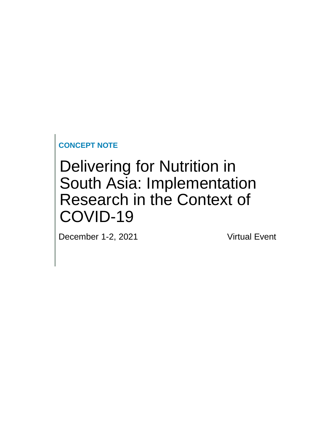**CONCEPT NOTE**

# Delivering for Nutrition in South Asia: Implementation Research in the Context of COVID-19

December 1-2, 2021 Virtual Event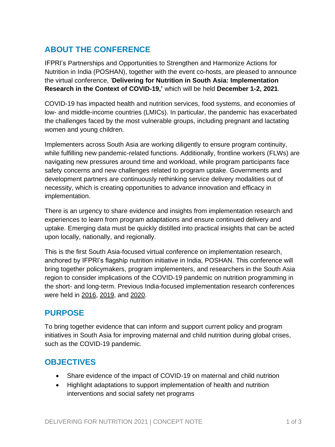# **ABOUT THE CONFERENCE**

IFPRI's Partnerships and Opportunities to Strengthen and Harmonize Actions for Nutrition in India (POSHAN), together with the event co-hosts, are pleased to announce the virtual conference, '**Delivering for Nutrition in South Asia: Implementation Research in the Context of COVID-19,'** which will be held **December 1-2, 2021**.

COVID-19 has impacted health and nutrition services, food systems, and economies of low- and middle-income countries (LMICs). In particular, the pandemic has exacerbated the challenges faced by the most vulnerable groups, including pregnant and lactating women and young children.

Implementers across South Asia are working diligently to ensure program continuity, while fulfilling new pandemic-related functions. Additionally, frontline workers (FLWs) are navigating new pressures around time and workload, while program participants face safety concerns and new challenges related to program uptake. Governments and development partners are continuously rethinking service delivery modalities out of necessity, which is creating opportunities to advance innovation and efficacy in implementation.

There is an urgency to share evidence and insights from implementation research and experiences to learn from program adaptations and ensure continued delivery and uptake. Emerging data must be quickly distilled into practical insights that can be acted upon locally, nationally, and regionally.

This is the first South Asia-focused virtual conference on implementation research, anchored by IFPRI's flagship nutrition initiative in India, POSHAN. This conference will bring together policymakers, program implementers, and researchers in the South Asia region to consider implications of the COVID-19 pandemic on nutrition programming in the short- and long-term. Previous India-focused implementation research conferences were held in [2016,](https://poshan.ifpri.info/2016/11/29/delivering-for-nutrition-in-india-learnings-from-implementation-research/) [2019,](http://poshan.ifpri.info/2019/10/19/researchers-gather-for-national-nutrition-month-to-support-indias-nutrition-mission-with-insights-from-implementation-research/) and [2020.](https://poshan.ifpri.info/2020/10/26/delivering-for-nutrition-in-india-what-will-it-take-to-scale-up-interventions/)

#### **PURPOSE**

To bring together evidence that can inform and support current policy and program initiatives in South Asia for improving maternal and child nutrition during global crises, such as the COVID-19 pandemic.

#### **OBJECTIVES**

- Share evidence of the impact of COVID-19 on maternal and child nutrition
- Highlight adaptations to support implementation of health and nutrition interventions and social safety net programs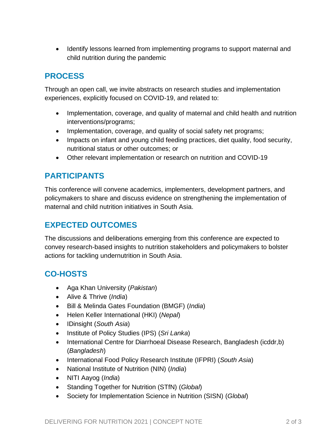• Identify lessons learned from implementing programs to support maternal and child nutrition during the pandemic

### **PROCESS**

Through an open call, we invite abstracts on research studies and implementation experiences, explicitly focused on COVID-19, and related to:

- Implementation, coverage, and quality of maternal and child health and nutrition interventions/programs;
- Implementation, coverage, and quality of social safety net programs;
- Impacts on infant and young child feeding practices, diet quality, food security, nutritional status or other outcomes; or
- Other relevant implementation or research on nutrition and COVID-19

### **PARTICIPANTS**

This conference will convene academics, implementers, development partners, and policymakers to share and discuss evidence on strengthening the implementation of maternal and child nutrition initiatives in South Asia.

# **EXPECTED OUTCOMES**

The discussions and deliberations emerging from this conference are expected to convey research-based insights to nutrition stakeholders and policymakers to bolster actions for tackling undernutrition in South Asia.

# **CO-HOSTS**

- Aga Khan University (*Pakistan*)
- Alive & Thrive (*India*)
- Bill & Melinda Gates Foundation (BMGF) (*India*)
- Helen Keller International (HKI) (*Nepal*)
- IDinsight (*South Asia*)
- Institute of Policy Studies (IPS) (*Sri Lanka*)
- International Centre for Diarrhoeal Disease Research, Bangladesh (icddr,b) (*Bangladesh*)
- International Food Policy Research Institute (IFPRI) (*South Asia*)
- National Institute of Nutrition (NIN) (*India*)
- NITI Aayog (*India*)
- Standing Together for Nutrition (STfN) (*Global*)
- Society for Implementation Science in Nutrition (SISN) (*Global*)